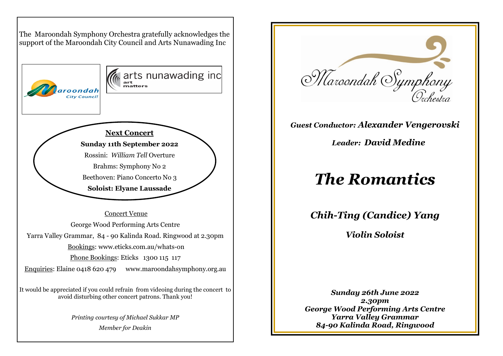The Maroondah Symphony Orchestra gratefully acknowledges the support of the Maroondah City Council and Arts Nunawading Inc



 Concert VenueGeorge Wood Performing Arts Centre Yarra Valley Grammar, 84 - 90 Kalinda Road. Ringwood at 2.30pm Bookings: www.eticks.com.au/whats-on Phone Bookings: Eticks 1300 115 117 Enquiries: Elaine 0418 620 479 www.maroondahsymphony.org.au

It would be appreciated if you could refrain from videoing during the concert to avoid disturbing other concert patrons. Thank you!

> *Printing courtesy of Michael Sukkar MP Member for Deakin*



# *Guest Conductor: Alexander Vengerovski*

*Leader: David Medine* 

# *The Romantics*

*Chih-Ting (Candice) Yang* 

*Violin Soloist* 

*Sunday 26th June 2022 2.30pm George Wood Performing Arts Centre Yarra Valley Grammar 84-90 Kalinda Road, Ringwood*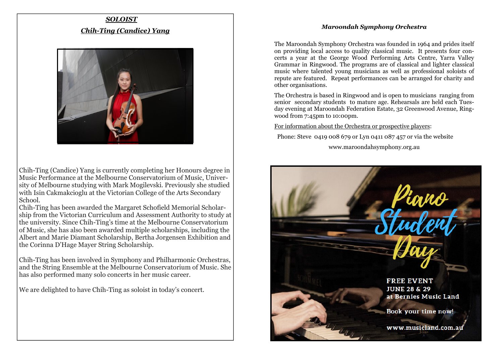#### *Maroondah Symphony Orchestra*

# *SOLOISTChih-Ting (Candice) Yang*



Chih-Ting (Candice) Yang is currently completing her Honours degree in Music Performance at the Melbourne Conservatorium of Music, University of Melbourne studying with Mark Mogilevski. Previously she studied with Isin Cakmakcioglu at the Victorian College of the Arts Secondary School.

 Chih-Ting has been awarded the Margaret Schofield Memorial Scholarship from the Victorian Curriculum and Assessment Authority to study at the university. Since Chih-Ting's time at the Melbourne Conservatorium of Music, she has also been awarded multiple scholarships, including the Albert and Marie Diamant Scholarship, Bertha Jorgensen Exhibition and the Corinna D'Hage Mayer String Scholarship.

Chih-Ting has been involved in Symphony and Philharmonic Orchestras, and the String Ensemble at the Melbourne Conservatorium of Music. She has also performed many solo concerts in her music career.

We are delighted to have Chih-Ting as soloist in today's concert.

The Maroondah Symphony Orchestra was founded in 1964 and prides itself on providing local access to quality classical music. It presents four concerts a year at the George Wood Performing Arts Centre, Yarra Valley Grammar in Ringwood. The programs are of classical and lighter classical music where talented young musicians as well as professional soloists of repute are featured. Repeat performances can be arranged for charity and other organisations.

The Orchestra is based in Ringwood and is open to musicians ranging from senior secondary students to mature age. Rehearsals are held each Tuesday evening at Maroondah Federation Estate, 32 Greenwood Avenue, Ringwood from 7:45pm to 10:00pm.

For information about the Orchestra or prospective players:

Phone: Steve 0419 008 679 or Lyn 0411 087 457 or via the website

www.maroondahsymphony.org.au

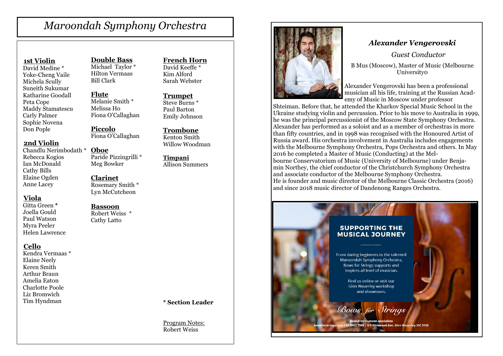# *Maroondah Symphony Orchestra*

#### **1st Violin**

 David Medine \* Yoke-Cheng Vaile Michela Scully Suneith Sukumar Katharine Goodall Peta Cope Maddy Stamatescu Carly Palmer Sophie Novena Don Pople

 **2nd Violin**

 Chandlu Nerimbodath \* **Oboe** Rebecca Kogios Ian McDonald Cathy Bills Elaine Ogden Anne Lacey

#### **Viola**

 Gitta Green **\***  Joella Gould Paul Watson Myra Peeler Helen Lawrence

#### **Cello**

 Kendra Vermaas \* Elaine Neely Keren Smith Arthur Braun Amelia Eaton Charlotte Poole Liz Bromwich Tim Hyndman

**Double Bass** Michael Taylor \* Hilton Vermaas Bill Clark

**Flute** Melanie Smith \* Melissa Ho Fiona O'Callaghan

**Piccolo**Fiona O'Callaghan

 Paride Pizzingrilli \* Meg Bowker

#### **Clarinet**

 Rosemary Smith \* Lyn McCutcheon

#### **Bassoon**

 Robert Weiss \* Cathy Latto

#### **French Horn**

David Keeffe \* Kim Alford Sarah Webster

#### **Trumpet** Steve Burns \* Paul Barton

Emily Johnson

**Trombone** Kenton Smith Willow Woodman

**Timpani**Allison Summers

#### **\* Section Leader**

Program Notes:Robert Weiss



### *Alexander Vengerovski*

 *Guest Conductor* 

B Mus (Moscow), Master of Music (Melbourne University0

Alexander Vengerovski has been a professional musician all his life, training at the Russian Academy of Music in Moscow under professor

 Shteiman. Before that, he attended the Kharkov Special Music School in the Ukraine studying violin and percussion. Prior to his move to Australia in 1999, he was the principal percussionist of the Moscow State Symphony Orchestra. Alexander has performed as a soloist and as a member of orchestras in more than fifty countries, and in 1998 was recognised with the Honoured Artist of Russia award. His orchestra involvement in Australia includes engagements with the Melbourne Symphony Orchestra, Pops Orchestra and others. In May 2016 he completed a Master of Music (Conducting) at the Melbourne Conservatorium of Music (University of Melbourne) under Benjamin Northey, the chief conductor of the Christchurch Symphony Orchestra and associate conductor of the Melbourne Symphony Orchestra. He is founder and music director of the Melbourne Classic Orchestra (2016) and since 2018 music director of Dandenong Ranges Orchestra.

#### **SUPPORTING THE MUSICAL JOURNEY**

From daring beginners to the talented Maroondah Symphony Orchestra. **Bows for Strings supports and** inspires all level of musician.

> Find us online or visit our Glen Waverley workshop and showroom.

Bows for Strings

802 7905 | 5-7 Gler